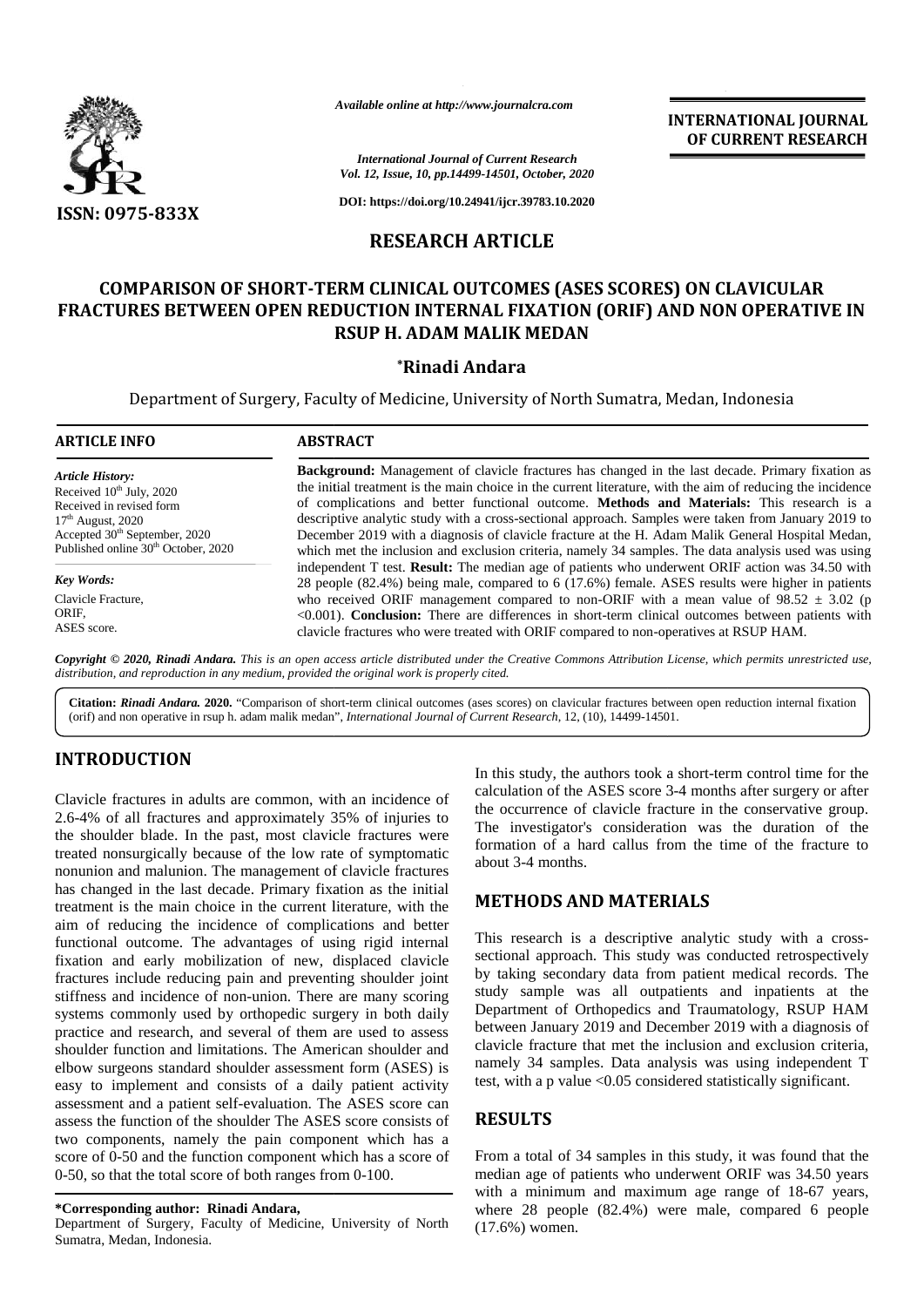

*Available online at http://www.journalcra.com*

## **RESEARCH ARTICLE**

# **COMPARISON OF SHORT-TERM CLINICAL OUTCOMES (ASES SCORES) ON CLAVICULAR FRACTURES BETWEEN OPEN REDUCTION INTERNAL FIXATION (ORIF) AND NON OPERATIVE IN RSUP H. ADAM MALIK MEDAN** RM CLINICAL OUTCOMES (ASES SCORES) ON CLA<br>DUCTION INTERNAL FIXATION (ORIF) AND NON<br>RSUP H. ADAM MALIK MEDAN<br>\*Rinadi Andara

### **\*Rinadi Andara**

|                                                                                                                                                                                                                                                                                                                                                                                                                                                                                                                                                                                                                                                                                                                                                                                                                                                                                                                                                                                    | Available online at http://www.journalcra.com                                                                                                                                                                                                                                                                                                                                                                                                                                                                                                                                                                                                                                                                                                                                                                                                                                                                                                                                                                                                                                                                                                                                                                                                                                                                                                                                                                    |                                                                                                                                                                                                                                              | <b>INTERNATIONAL JOURNAL</b><br>OF CURRENT RESEARCH                                                                                                                                                                                                                                                                                                                                                                                                                                                                                                                           |  |  |  |
|------------------------------------------------------------------------------------------------------------------------------------------------------------------------------------------------------------------------------------------------------------------------------------------------------------------------------------------------------------------------------------------------------------------------------------------------------------------------------------------------------------------------------------------------------------------------------------------------------------------------------------------------------------------------------------------------------------------------------------------------------------------------------------------------------------------------------------------------------------------------------------------------------------------------------------------------------------------------------------|------------------------------------------------------------------------------------------------------------------------------------------------------------------------------------------------------------------------------------------------------------------------------------------------------------------------------------------------------------------------------------------------------------------------------------------------------------------------------------------------------------------------------------------------------------------------------------------------------------------------------------------------------------------------------------------------------------------------------------------------------------------------------------------------------------------------------------------------------------------------------------------------------------------------------------------------------------------------------------------------------------------------------------------------------------------------------------------------------------------------------------------------------------------------------------------------------------------------------------------------------------------------------------------------------------------------------------------------------------------------------------------------------------------|----------------------------------------------------------------------------------------------------------------------------------------------------------------------------------------------------------------------------------------------|-------------------------------------------------------------------------------------------------------------------------------------------------------------------------------------------------------------------------------------------------------------------------------------------------------------------------------------------------------------------------------------------------------------------------------------------------------------------------------------------------------------------------------------------------------------------------------|--|--|--|
|                                                                                                                                                                                                                                                                                                                                                                                                                                                                                                                                                                                                                                                                                                                                                                                                                                                                                                                                                                                    |                                                                                                                                                                                                                                                                                                                                                                                                                                                                                                                                                                                                                                                                                                                                                                                                                                                                                                                                                                                                                                                                                                                                                                                                                                                                                                                                                                                                                  | <b>International Journal of Current Research</b><br>Vol. 12, Issue, 10, pp.14499-14501, October, 2020                                                                                                                                        |                                                                                                                                                                                                                                                                                                                                                                                                                                                                                                                                                                               |  |  |  |
| <b>ISSN: 0975-833X</b>                                                                                                                                                                                                                                                                                                                                                                                                                                                                                                                                                                                                                                                                                                                                                                                                                                                                                                                                                             |                                                                                                                                                                                                                                                                                                                                                                                                                                                                                                                                                                                                                                                                                                                                                                                                                                                                                                                                                                                                                                                                                                                                                                                                                                                                                                                                                                                                                  | DOI: https://doi.org/10.24941/ijcr.39783.10.2020                                                                                                                                                                                             |                                                                                                                                                                                                                                                                                                                                                                                                                                                                                                                                                                               |  |  |  |
|                                                                                                                                                                                                                                                                                                                                                                                                                                                                                                                                                                                                                                                                                                                                                                                                                                                                                                                                                                                    |                                                                                                                                                                                                                                                                                                                                                                                                                                                                                                                                                                                                                                                                                                                                                                                                                                                                                                                                                                                                                                                                                                                                                                                                                                                                                                                                                                                                                  | <b>RESEARCH ARTICLE</b>                                                                                                                                                                                                                      |                                                                                                                                                                                                                                                                                                                                                                                                                                                                                                                                                                               |  |  |  |
|                                                                                                                                                                                                                                                                                                                                                                                                                                                                                                                                                                                                                                                                                                                                                                                                                                                                                                                                                                                    | <b>COMPARISON OF SHORT-TERM CLINICAL OUTCOMES (ASES SCORES) ON CLAVICULAR</b>                                                                                                                                                                                                                                                                                                                                                                                                                                                                                                                                                                                                                                                                                                                                                                                                                                                                                                                                                                                                                                                                                                                                                                                                                                                                                                                                    | <b>RSUP H. ADAM MALIK MEDAN</b><br><i>*Rinadi Andara</i>                                                                                                                                                                                     | FRACTURES BETWEEN OPEN REDUCTION INTERNAL FIXATION (ORIF) AND NON OPERATIVE IN                                                                                                                                                                                                                                                                                                                                                                                                                                                                                                |  |  |  |
|                                                                                                                                                                                                                                                                                                                                                                                                                                                                                                                                                                                                                                                                                                                                                                                                                                                                                                                                                                                    | Department of Surgery, Faculty of Medicine, University of North Sumatra, Medan, Indonesia                                                                                                                                                                                                                                                                                                                                                                                                                                                                                                                                                                                                                                                                                                                                                                                                                                                                                                                                                                                                                                                                                                                                                                                                                                                                                                                        |                                                                                                                                                                                                                                              |                                                                                                                                                                                                                                                                                                                                                                                                                                                                                                                                                                               |  |  |  |
| <b>ARTICLE INFO</b>                                                                                                                                                                                                                                                                                                                                                                                                                                                                                                                                                                                                                                                                                                                                                                                                                                                                                                                                                                | <b>ABSTRACT</b><br>Background: Management of clavicle fractures has changed in the last decade. Primary fixation as<br>the initial treatment is the main choice in the current literature, with the aim of reducing the incidence<br>of complications and better functional outcome. Methods and Materials: This research is a<br>descriptive analytic study with a cross-sectional approach. Samples were taken from January 2019 to<br>December 2019 with a diagnosis of clavicle fracture at the H. Adam Malik General Hospital Medan,<br>which met the inclusion and exclusion criteria, namely 34 samples. The data analysis used was using<br>independent T test. Result: The median age of patients who underwent ORIF action was 34.50 with<br>28 people (82.4%) being male, compared to 6 (17.6%) female. ASES results were higher in patients<br>who received ORIF management compared to non-ORIF with a mean value of $98.52 \pm 3.02$ (p<br><0.001). Conclusion: There are differences in short-term clinical outcomes between patients with<br>clavicle fractures who were treated with ORIF compared to non-operatives at RSUP HAM.<br>Copyright © 2020, Rinadi Andara. This is an open access article distributed under the Creative Commons Attribution License, which permits unrestricted use,<br>distribution, and reproduction in any medium, provided the original work is properly cited. |                                                                                                                                                                                                                                              |                                                                                                                                                                                                                                                                                                                                                                                                                                                                                                                                                                               |  |  |  |
| <b>Article History:</b><br>Received 10 <sup>th</sup> July, 2020<br>Received in revised form<br>$17th$ August, 2020<br>Accepted 30 <sup>th</sup> September, 2020<br>Published online 30 <sup>th</sup> October, 2020<br><b>Key Words:</b><br>Clavicle Fracture,<br>ORIF,<br>ASES score.                                                                                                                                                                                                                                                                                                                                                                                                                                                                                                                                                                                                                                                                                              |                                                                                                                                                                                                                                                                                                                                                                                                                                                                                                                                                                                                                                                                                                                                                                                                                                                                                                                                                                                                                                                                                                                                                                                                                                                                                                                                                                                                                  |                                                                                                                                                                                                                                              |                                                                                                                                                                                                                                                                                                                                                                                                                                                                                                                                                                               |  |  |  |
|                                                                                                                                                                                                                                                                                                                                                                                                                                                                                                                                                                                                                                                                                                                                                                                                                                                                                                                                                                                    | (orif) and non operative in rsup h. adam malik medan", International Journal of Current Research, 12, (10), 14499-14501.                                                                                                                                                                                                                                                                                                                                                                                                                                                                                                                                                                                                                                                                                                                                                                                                                                                                                                                                                                                                                                                                                                                                                                                                                                                                                         |                                                                                                                                                                                                                                              | Citation: Rinadi Andara. 2020. "Comparison of short-term clinical outcomes (ases scores) on clavicular fractures between open reduction internal fixation                                                                                                                                                                                                                                                                                                                                                                                                                     |  |  |  |
| <b>INTRODUCTION</b><br>Clavicle fractures in adults are common, with an incidence of<br>2.6-4% of all fractures and approximately 35% of injuries to<br>the shoulder blade. In the past, most clavicle fractures were<br>treated nonsurgically because of the low rate of symptomatic<br>nonunion and malunion. The management of clavicle fractures                                                                                                                                                                                                                                                                                                                                                                                                                                                                                                                                                                                                                               |                                                                                                                                                                                                                                                                                                                                                                                                                                                                                                                                                                                                                                                                                                                                                                                                                                                                                                                                                                                                                                                                                                                                                                                                                                                                                                                                                                                                                  | about 3-4 months.                                                                                                                                                                                                                            | In this study, the authors took a short-term control time for the<br>calculation of the ASES score 3-4 months after surgery or after<br>the occurrence of clavicle fracture in the conservative group.<br>The investigator's consideration was the duration of the<br>formation of a hard callus from the time of the fracture to                                                                                                                                                                                                                                             |  |  |  |
| has changed in the last decade. Primary fixation as the initial<br>treatment is the main choice in the current literature, with the<br>aim of reducing the incidence of complications and better<br>functional outcome. The advantages of using rigid internal<br>fixation and early mobilization of new, displaced clavicle<br>fractures include reducing pain and preventing shoulder joint<br>stiffness and incidence of non-union. There are many scoring<br>systems commonly used by orthopedic surgery in both daily<br>practice and research, and several of them are used to assess<br>shoulder function and limitations. The American shoulder and<br>elbow surgeons standard shoulder assessment form (ASES) is<br>easy to implement and consists of a daily patient activity<br>assessment and a patient self-evaluation. The ASES score can<br>assess the function of the shoulder The ASES score consists of<br>two components, namely the pain component which has a |                                                                                                                                                                                                                                                                                                                                                                                                                                                                                                                                                                                                                                                                                                                                                                                                                                                                                                                                                                                                                                                                                                                                                                                                                                                                                                                                                                                                                  | <b>METHODS AND MATERIALS</b><br><b>RESULTS</b>                                                                                                                                                                                               | This research is a descriptive analytic study with a cross-<br>sectional approach. This study was conducted retrospectively<br>by taking secondary data from patient medical records. The<br>study sample was all outpatients and inpatients at the<br>Department of Orthopedics and Traumatology, RSUP HAM<br>between January 2019 and December 2019 with a diagnosis of<br>clavicle fracture that met the inclusion and exclusion criteria,<br>namely 34 samples. Data analysis was using independent T<br>test, with a p value <0.05 considered statistically significant. |  |  |  |
| score of 0-50 and the function component which has a score of<br>0-50, so that the total score of both ranges from 0-100.<br>*Corresponding author: Rinadi Andara,                                                                                                                                                                                                                                                                                                                                                                                                                                                                                                                                                                                                                                                                                                                                                                                                                 |                                                                                                                                                                                                                                                                                                                                                                                                                                                                                                                                                                                                                                                                                                                                                                                                                                                                                                                                                                                                                                                                                                                                                                                                                                                                                                                                                                                                                  | From a total of 34 samples in this study, it was found that the<br>median age of patients who underwent ORIF was 34.50 years<br>with a minimum and maximum age range of 18-67 years,<br>where 28 people (82.4%) were male, compared 6 people |                                                                                                                                                                                                                                                                                                                                                                                                                                                                                                                                                                               |  |  |  |

## **INTRODUCTION INTRODUCTION**

Clavicle fractures in adults are common, with an incidence of 2.6-4% of all fractures and approximately 35% of injuries to  $\frac{dE}{dt}$ the shoulder blade. In the past, most clavicle fractures were treated nonsurgically because of the low rate of symptomatic nonunion and malunion. The management of clavicle fractures has changed in the last decade. Primary fixation as the initial treatment is the main choice in the current literature, with the aim of reducing the incidence of complications and better functional outcome. The advantages of using rigid internal fixation and early mobilization of new, displaced clavicle fractures include reducing pain and preventing shoulder joint stiffness and incidence of non-union. There are many scoring systems commonly used by orthopedic surgery in both daily practice and research, and several of them are used to assess shoulder function and limitations. The American shoulder and shoulder function and limitations. The American shoulder and elbow surgeons standard shoulder assessment form (ASES) is and easy to implement and consists of a daily patient activity assessment and a patient self-evaluation. The ASES score can assess the function of the shoulder The ASES score consists of two components, namely the pain component which has a score of 0-50 and the function component which has a score of 0-50, so that the total score of both ranges from 0-100. Clavicle fractures in adults are common, with an incidence of 2.6-4% of all fractures and approximately 35% of injuries to the shoulder blade. In the past, most clavicle fractures were treated nonsurgically because of the treatment is the main choice in the current literature, with the<br>aim of reducing the incidence of complications and better<br>functional outcome. The advantages of using rigid internal fixation and early mobilization of new, displaced clavicle<br>fractures include reducing pain and preventing shoulder joint<br>systems and incidence of non-union. There are many scoring<br>systems commonly used by orthopedic surger easy to implement and consists of a daily patient<br>assessment and a patient self-evaluation. The ASES s<br>assess the function of the shoulder The ASES score cc<br>two components, namely the pain component which<br>score of 0-50 and Clavide fractures in adults are common, with an incidence of clavida, the authors took a short-term control inereformed the conservative gradient based and proximately 35% of injuries to the conservative in the conservati

#### **\*Corresponding author: Rinadi Andara, \*Corresponding**

Department of Surgery, Faculty of Medicine, University of North Sumatra, Medan, Indonesia.

### **METHODS AND MATERIALS**

#### **RESULTS**

From a total of 34 samples in this study, it was found that the median age of patients who underwent ORIF was 34.50 years with a minimum and maximum age range of 18-67 years, where 28 people (82.4%) were male, compared 6 people (17.6%) women.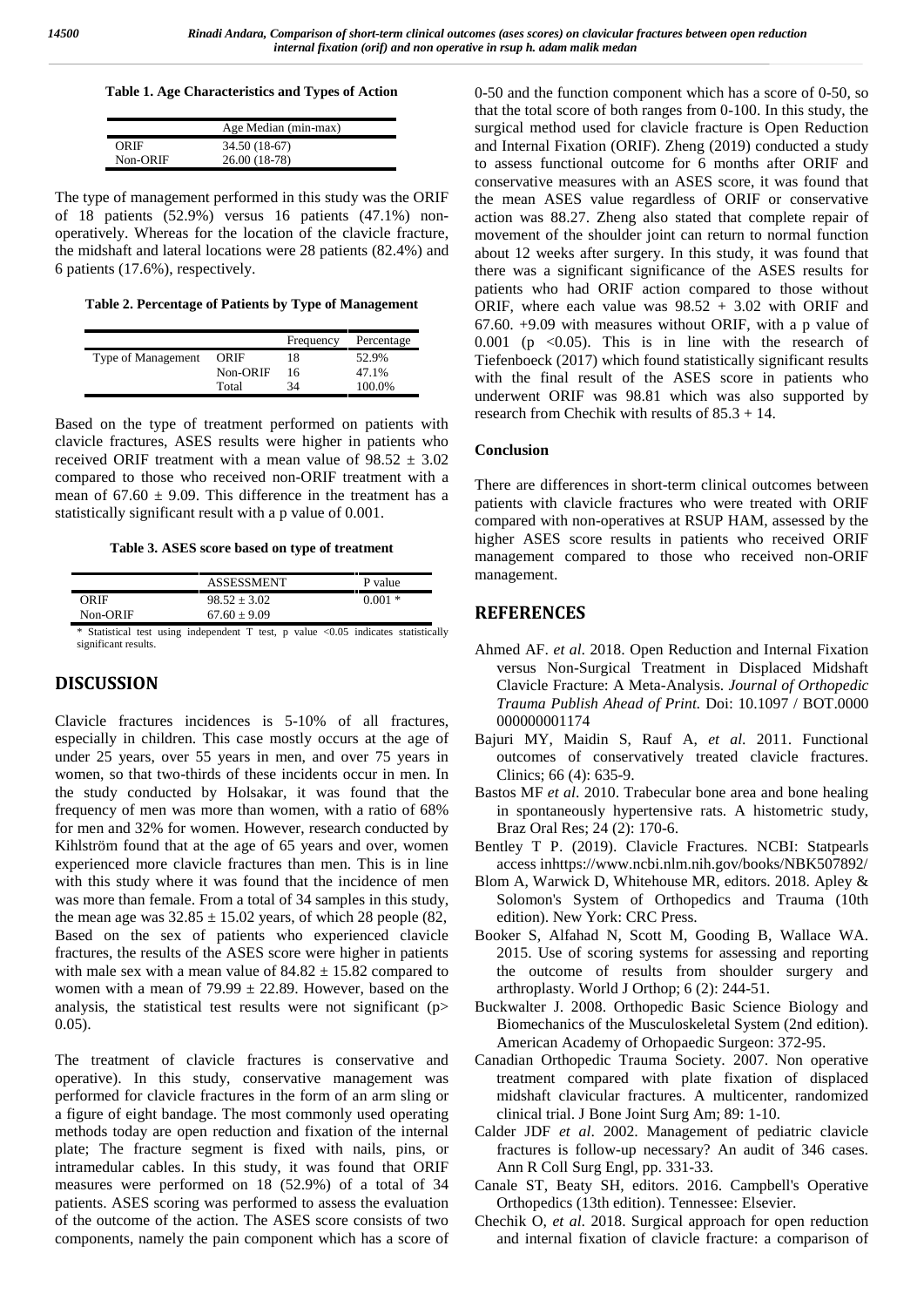#### **Table 1. Age Characteristics and Types of Action**

|          | Age Median (min-max) |
|----------|----------------------|
| ORIF     | 34.50 (18-67)        |
| Non-ORIF | 26.00 (18-78)        |

The type of management performed in this study was the ORIF of 18 patients (52.9%) versus 16 patients (47.1%) non operatively. Whereas for the location of the clavicle fracture, the midshaft and lateral locations were 28 patients (82.4%) and 6 patients (17.6%), respectively.

**Table 2. Percentage of Patients by Type of Management**

|                    |          | Frequency | Percentage |
|--------------------|----------|-----------|------------|
| Type of Management | ORIF     | 18        | 52.9%      |
|                    | Non-ORIF | 16        | 47.1%      |
|                    | Total    | 34        | 100.0%     |

Based on the type of treatment performed on patients with clavicle fractures, ASES results were higher in patients who received ORIF treatment with a mean value of  $98.52 \pm 3.02$ compared to those who received non-ORIF treatment with a mean of  $67.60 \pm 9.09$ . This difference in the treatment has a statistically significant result with a p value of 0.001.

**Table 3. ASES score based on type of treatment**

|          | <b>ASSESSMENT</b> | P value  |
|----------|-------------------|----------|
| ORIF     | $98.52 \pm 3.02$  | $0.001*$ |
| Non-ORIF | $67.60 \pm 9.09$  |          |

\* Statistical test using independent T test, p value <0.05 indicates statistically significant results.

### **DISCUSSION**

Clavicle fractures incidences is 5-10% of all fractures, especially in children. This case mostly occurs at the age of under 25 years, over 55 years in men, and over 75 years in women, so that two-thirds of these incidents occur in men. In the study conducted by Holsakar, it was found that the frequency of men was more than women, with a ratio of 68% for men and 32% for women. However, research conducted by Kihlström found that at the age of 65 years and over, women experienced more clavicle fractures than men. This is in line with this study where it was found that the incidence of men was more than female. From a total of 34 samples in this study, the mean age was  $32.85 \pm 15.02$  years, of which 28 people (82, Based on the sex of patients who experienced clavicle fractures, the results of the ASES score were higher in patients with male sex with a mean value of  $84.82 \pm 15.82$  compared to women with a mean of  $79.99 \pm 22.89$ . However, based on the analysis, the statistical test results were not significant (p> 0.05).

The treatment of clavicle fractures is conservative and operative). In this study, conservative management was performed for clavicle fractures in the form of an arm sling or a figure of eight bandage. The most commonly used operating methods today are open reduction and fixation of the internal plate; The fracture segment is fixed with nails, pins, or intramedular cables. In this study, it was found that ORIF measures were performed on 18 (52.9%) of a total of 34 patients. ASES scoring was performed to assess the evaluation of the outcome of the action. The ASES score consists of two components, namely the pain component which has a score of

0-50 and the function component which has a score of 0-50, so that the total score of both ranges from 0-100. In this study, the surgical method used for clavicle fracture is Open Reduction and Internal Fixation (ORIF). Zheng (2019) conducted a study to assess functional outcome for 6 months after ORIF and conservative measures with an ASES score, it was found that the mean ASES value regardless of ORIF or conservative action was 88.27. Zheng also stated that complete repair of movement of the shoulder joint can return to normal function about 12 weeks after surgery. In this study, it was found that there was a significant significance of the ASES results for patients who had ORIF action compared to those without ORIF, where each value was  $98.52 + 3.02$  with ORIF and 67.60. +9.09 with measures without ORIF, with a p value of 0.001 ( $p \le 0.05$ ). This is in line with the research of Tiefenboeck (2017) which found statistically significant results with the final result of the ASES score in patients who underwent ORIF was 98.81 which was also supported by research from Chechik with results of 85.3 + 14.

#### **Conclusion**

There are differences in short-term clinical outcomes between patients with clavicle fractures who were treated with ORIF compared with non-operatives at RSUP HAM, assessed by the higher ASES score results in patients who received ORIF management compared to those who received non-ORIF management.

### **REFERENCES**

- Ahmed AF. *et al*. 2018. Open Reduction and Internal Fixation versus Non-Surgical Treatment in Displaced Midshaft Clavicle Fracture: A Meta-Analysis. *Journal of Orthopedic Trauma Publish Ahead of Print.* Doi: 10.1097 / BOT.0000 000000001174
- Bajuri MY, Maidin S, Rauf A, *et al*. 2011. Functional outcomes of conservatively treated clavicle fractures. Clinics; 66 (4): 635-9.
- Bastos MF *et al*. 2010. Trabecular bone area and bone healing in spontaneously hypertensive rats. A histometric study, Braz Oral Res; 24 (2): 170-6.
- Bentley T P. (2019). Clavicle Fractures. NCBI: Statpearls access inhttps://www.ncbi.nlm.nih.gov/books/NBK507892/
- Blom A, Warwick D, Whitehouse MR, editors. 2018. Apley & Solomon's System of Orthopedics and Trauma (10th edition). New York: CRC Press.
- Booker S, Alfahad N, Scott M, Gooding B, Wallace WA. 2015. Use of scoring systems for assessing and reporting the outcome of results from shoulder surgery and arthroplasty. World J Orthop; 6 (2): 244-51.
- Buckwalter J. 2008. Orthopedic Basic Science Biology and Biomechanics of the Musculoskeletal System (2nd edition). American Academy of Orhopaedic Surgeon: 372-95.
- Canadian Orthopedic Trauma Society. 2007. Non operative treatment compared with plate fixation of displaced midshaft clavicular fractures. A multicenter, randomized clinical trial. J Bone Joint Surg Am; 89: 1-10.
- Calder JDF *et al*. 2002. Management of pediatric clavicle fractures is follow-up necessary? An audit of 346 cases. Ann R Coll Surg Engl, pp. 331-33.
- Canale ST, Beaty SH, editors. 2016. Campbell's Operative Orthopedics (13th edition). Tennessee: Elsevier.
- Chechik O, *et al*. 2018. Surgical approach for open reduction and internal fixation of clavicle fracture: a comparison of